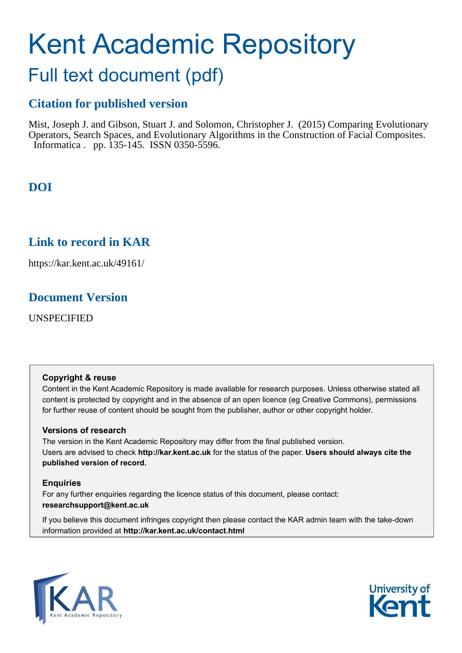# Kent Academic Repository

## Full text document (pdf)

## **Citation for published version**

Mist, Joseph J. and Gibson, Stuart J. and Solomon, Christopher J. (2015) Comparing Evolutionary Operators, Search Spaces, and Evolutionary Algorithms in the Construction of Facial Composites. Informatica . pp. 135-145. ISSN 0350-5596.

**DOI**

## **Link to record in KAR**

https://kar.kent.ac.uk/49161/

## **Document Version**

UNSPECIFIED

### **Copyright & reuse**

Content in the Kent Academic Repository is made available for research purposes. Unless otherwise stated all content is protected by copyright and in the absence of an open licence (eg Creative Commons), permissions for further reuse of content should be sought from the publisher, author or other copyright holder.

### **Versions of research**

The version in the Kent Academic Repository may differ from the final published version. Users are advised to check **http://kar.kent.ac.uk** for the status of the paper. **Users should always cite the published version of record.**

### **Enquiries**

For any further enquiries regarding the licence status of this document, please contact: **researchsupport@kent.ac.uk**

If you believe this document infringes copyright then please contact the KAR admin team with the take-down information provided at **http://kar.kent.ac.uk/contact.html**



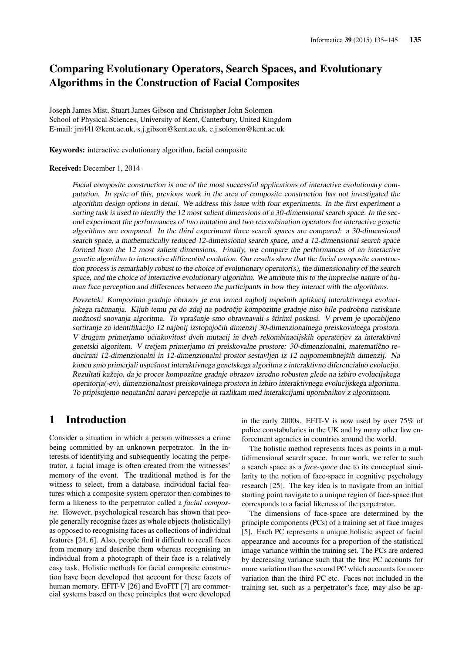## Comparing Evolutionary Operators, Search Spaces, and Evolutionary Algorithms in the Construction of Facial Composites

Joseph James Mist, Stuart James Gibson and Christopher John Solomon School of Physical Sciences, University of Kent, Canterbury, United Kingdom E-mail: jm441@kent.ac.uk, s.j.gibson@kent.ac.uk, c.j.solomon@kent.ac.uk

Keywords: interactive evolutionary algorithm, facial composite

#### Received: December 1, 2014

Facial composite construction is one of the most successful applications of interactive evolutionary computation. In spite of this, previous work in the area of composite construction has not investigated the algorithm design options in detail. We address this issue with four experiments. In the first experiment a sorting task is used to identify the 12 most salient dimensions of a 30-dimensional search space. In the second experiment the performances of two mutation and two recombination operators for interactive genetic algorithms are compared. In the third experiment three search spaces are compared: a 30-dimensional search space, a mathematically reduced 12-dimensional search space, and a 12-dimensional search space formed from the 12 most salient dimensions. Finally, we compare the performances of an interactive genetic algorithm to interactive differential evolution. Our results show that the facial composite construction process is remarkably robust to the choice of evolutionary operator(s), the dimensionality of the search space, and the choice of interactive evolutionary algorithm. We attribute this to the imprecise nature of human face perception and differences between the participants in how they interact with the algorithms.

Povzetek: Kompozitna gradnja obrazov je ena izmed najbolj uspešnih aplikacij interaktivnega evolucijskega računanja. Kljub temu pa do zdaj na področju kompozitne gradnje niso bile podrobno raziskane možnosti snovanja algoritma. To vprašanje smo obravnavali s štirimi poskusi. V prvem je uporabljeno sortiranje za identifikacijo 12 najbolj izstopajočih dimenzij 30-dimenzionalnega preiskovalnega prostora. V drugem primerjamo učinkovitost dveh mutacij in dveh rekombinacijskih operaterjev za interaktivni genetski algoritem. V tretjem primerjamo tri preiskovalne prostore: 30-dimenzionalni, matematično reducirani 12-dimenzionalni in 12-dimenzionalni prostor sestavljen iz 12 najpomembnejših dimenzij. Na koncu smo primerjali uspešnost interaktivnega genetskega algoritma z interaktivno diferencialno evolucijo. Rezultati kažejo, da je proces kompozitne gradnje obrazov izredno robusten glede na izbiro evolucijskega operatorja(-ev), dimenzionalnost preiskovalnega prostora in izbiro interaktivnega evolucijskega algoritma. To pripisujemo nenatančni naravi percepcije in razlikam med interakcijami uporabnikov z algoritmom.

## 1 Introduction

Consider a situation in which a person witnesses a crime being committed by an unknown perpetrator. In the interests of identifying and subsequently locating the perpetrator, a facial image is often created from the witnesses' memory of the event. The traditional method is for the witness to select, from a database, individual facial features which a composite system operator then combines to form a likeness to the perpetrator called a *facial composite*. However, psychological research has shown that people generally recognise faces as whole objects (holistically) as opposed to recognising faces as collections of individual features [24, 6]. Also, people find it difficult to recall faces from memory and describe them whereas recognising an individual from a photograph of their face is a relatively easy task. Holistic methods for facial composite construction have been developed that account for these facets of human memory. EFIT-V [26] and EvoFIT [7] are commercial systems based on these principles that were developed in the early 2000s. EFIT-V is now used by over 75% of police constabularies in the UK and by many other law enforcement agencies in countries around the world.

The holistic method represents faces as points in a multidimensional search space. In our work, we refer to such a search space as a *face-space* due to its conceptual similarity to the notion of face-space in cognitive psychology research [25]. The key idea is to navigate from an initial starting point navigate to a unique region of face-space that corresponds to a facial likeness of the perpetrator.

The dimensions of face-space are determined by the principle components (PCs) of a training set of face images [5]. Each PC represents a unique holistic aspect of facial appearance and accounts for a proportion of the statistical image variance within the training set. The PCs are ordered by decreasing variance such that the first PC accounts for more variation than the second PC which accounts for more variation than the third PC etc. Faces not included in the training set, such as a perpetrator's face, may also be ap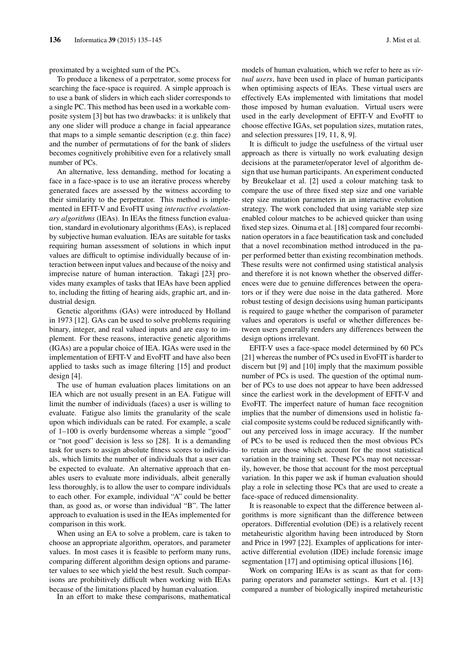proximated by a weighted sum of the PCs.

To produce a likeness of a perpetrator, some process for searching the face-space is required. A simple approach is to use a bank of sliders in which each slider corresponds to a single PC. This method has been used in a workable composite system [3] but has two drawbacks: it is unlikely that any one slider will produce a change in facial appearance that maps to a simple semantic description (e.g. thin face) and the number of permutations of for the bank of sliders becomes cognitively prohibitive even for a relatively small number of PCs.

An alternative, less demanding, method for locating a face in a face-space is to use an iterative process whereby generated faces are assessed by the witness according to their similarity to the perpetrator. This method is implemented in EFIT-V and EvoFIT using *interactive evolutionary algorithms* (IEAs). In IEAs the fitness function evaluation, standard in evolutionary algorithms (EAs), is replaced by subjective human evaluation. IEAs are suitable for tasks requiring human assessment of solutions in which input values are difficult to optimise individually because of interaction between input values and because of the noisy and imprecise nature of human interaction. Takagi [23] provides many examples of tasks that IEAs have been applied to, including the fitting of hearing aids, graphic art, and industrial design.

Genetic algorithms (GAs) were introduced by Holland in 1973 [12]. GAs can be used to solve problems requiring binary, integer, and real valued inputs and are easy to implement. For these reasons, interactive genetic algorithms (IGAs) are a popular choice of IEA. IGAs were used in the implementation of EFIT-V and EvoFIT and have also been applied to tasks such as image filtering [15] and product design [4].

The use of human evaluation places limitations on an IEA which are not usually present in an EA. Fatigue will limit the number of individuals (faces) a user is willing to evaluate. Fatigue also limits the granularity of the scale upon which individuals can be rated. For example, a scale of 1–100 is overly burdensome whereas a simple "good" or "not good" decision is less so [28]. It is a demanding task for users to assign absolute fitness scores to individuals, which limits the number of individuals that a user can be expected to evaluate. An alternative approach that enables users to evaluate more individuals, albeit generally less thoroughly, is to allow the user to compare individuals to each other. For example, individual "A" could be better than, as good as, or worse than individual "B". The latter approach to evaluation is used in the IEAs implemented for comparison in this work.

When using an EA to solve a problem, care is taken to choose an appropriate algorithm, operators, and parameter values. In most cases it is feasible to perform many runs, comparing different algorithm design options and parameter values to see which yield the best result. Such comparisons are prohibitively difficult when working with IEAs because of the limitations placed by human evaluation.

In an effort to make these comparisons, mathematical

models of human evaluation, which we refer to here as *virtual users*, have been used in place of human participants when optimising aspects of IEAs. These virtual users are effectively EAs implemented with limitations that model those imposed by human evaluation. Virtual users were used in the early development of EFIT-V and EvoFIT to choose effective IGAs, set population sizes, mutation rates, and selection pressures [19, 11, 8, 9].

It is difficult to judge the usefulness of the virtual user approach as there is virtually no work evaluating design decisions at the parameter/operator level of algorithm design that use human participants. An experiment conducted by Breukelaar et al. [2] used a colour matching task to compare the use of three fixed step size and one variable step size mutation parameters in an interactive evolution strategy. The work concluded that using variable step size enabled colour matches to be achieved quicker than using fixed step sizes. Oinuma et al. [18] compared four recombination operators in a face beautification task and concluded that a novel recombination method introduced in the paper performed better than existing recombination methods. These results were not confirmed using statistical analysis and therefore it is not known whether the observed differences were due to genuine differences between the operators or if they were due noise in the data gathered. More robust testing of design decisions using human participants is required to gauge whether the comparison of parameter values and operators is useful or whether differences between users generally renders any differences between the design options irrelevant.

EFIT-V uses a face-space model determined by 60 PCs [21] whereas the number of PCs used in EvoFIT is harder to discern but [9] and [10] imply that the maximum possible number of PCs is used. The question of the optimal number of PCs to use does not appear to have been addressed since the earliest work in the development of EFIT-V and EvoFIT. The imperfect nature of human face recognition implies that the number of dimensions used in holistic facial composite systems could be reduced significantly without any perceived loss in image accuracy. If the number of PCs to be used is reduced then the most obvious PCs to retain are those which account for the most statistical variation in the training set. These PCs may not necessarily, however, be those that account for the most perceptual variation. In this paper we ask if human evaluation should play a role in selecting those PCs that are used to create a face-space of reduced dimensionality.

It is reasonable to expect that the difference between algorithms is more significant than the difference between operators. Differential evolution (DE) is a relatively recent metaheuristic algorithm having been introduced by Storn and Price in 1997 [22]. Examples of applications for interactive differential evolution (IDE) include forensic image segmentation [17] and optimising optical illusions [16].

Work on comparing IEAs is as scant as that for comparing operators and parameter settings. Kurt et al. [13] compared a number of biologically inspired metaheuristic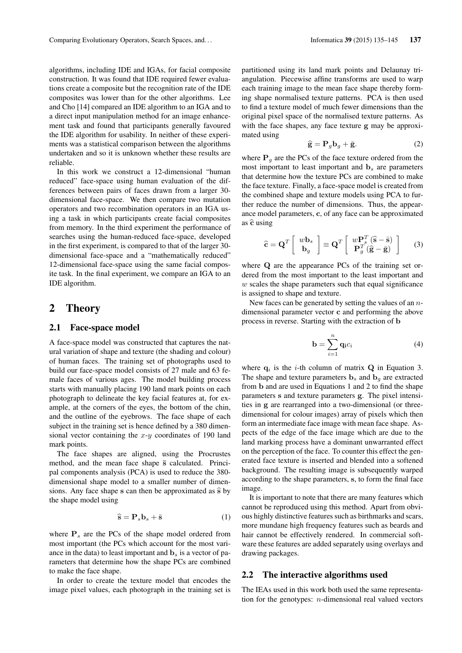algorithms, including IDE and IGAs, for facial composite construction. It was found that IDE required fewer evaluations create a composite but the recognition rate of the IDE composites was lower than for the other algorithms. Lee and Cho [14] compared an IDE algorithm to an IGA and to a direct input manipulation method for an image enhancement task and found that participants generally favoured the IDE algorithm for usability. In neither of these experiments was a statistical comparison between the algorithms undertaken and so it is unknown whether these results are reliable.

In this work we construct a 12-dimensional "human reduced" face-space using human evaluation of the differences between pairs of faces drawn from a larger 30 dimensional face-space. We then compare two mutation operators and two recombination operators in an IGA using a task in which participants create facial composites from memory. In the third experiment the performance of searches using the human-reduced face-space, developed in the first experiment, is compared to that of the larger 30 dimensional face-space and a "mathematically reduced" 12-dimensional face-space using the same facial composite task. In the final experiment, we compare an IGA to an IDE algorithm.

#### 2 Theory

#### 2.1 Face-space model

A face-space model was constructed that captures the natural variation of shape and texture (the shading and colour) of human faces. The training set of photographs used to build our face-space model consists of 27 male and 63 female faces of various ages. The model building process starts with manually placing 190 land mark points on each photograph to delineate the key facial features at, for example, at the corners of the eyes, the bottom of the chin, and the outline of the eyebrows. The face shape of each subject in the training set is hence defined by a 380 dimensional vector containing the  $x-y$  coordinates of 190 land mark points.

The face shapes are aligned, using the Procrustes method, and the mean face shape  $\bar{s}$  calculated. Principal components analysis (PCA) is used to reduce the 380 dimensional shape model to a smaller number of dimensions. Any face shape s can then be approximated as  $\hat{s}$  by the shape model using

$$
\widehat{\mathbf{s}} = \mathbf{P}_s \mathbf{b}_s + \bar{\mathbf{s}} \tag{1}
$$

where  $P_s$  are the PCs of the shape model ordered from most important (the PCs which account for the most variance in the data) to least important and  $\mathbf{b}_s$  is a vector of parameters that determine how the shape PCs are combined to make the face shape.

In order to create the texture model that encodes the image pixel values, each photograph in the training set is partitioned using its land mark points and Delaunay triangulation. Piecewise affine transforms are used to warp each training image to the mean face shape thereby forming shape normalised texture patterns. PCA is then used to find a texture model of much fewer dimensions than the original pixel space of the normalised texture patterns. As with the face shapes, any face texture g may be approximated using

$$
\hat{\mathbf{g}} = \mathbf{P}_g \mathbf{b}_g + \bar{\mathbf{g}}.\tag{2}
$$

where  $P_{q}$  are the PCs of the face texture ordered from the most important to least important and  $\mathbf{b}_s$  are parameters that determine how the texture PCs are combined to make the face texture. Finally, a face-space model is created from the combined shape and texture models using PCA to further reduce the number of dimensions. Thus, the appearance model parameters, c, of any face can be approximated as  $\hat{\mathbf{c}}$  using

$$
\hat{\mathbf{c}} = \mathbf{Q}^T \left[ \begin{array}{c} w\mathbf{b}_s \\ \mathbf{b}_g \end{array} \right] \equiv \mathbf{Q}^T \left[ \begin{array}{c} w\mathbf{P}_s^T(\hat{\mathbf{s}} - \bar{\mathbf{s}}) \\ \mathbf{P}_g^T(\hat{\mathbf{g}} - \bar{\mathbf{g}}) \end{array} \right] \tag{3}
$$

where Q are the appearance PCs of the training set ordered from the most important to the least important and  $w$  scales the shape parameters such that equal significance is assigned to shape and texture.

New faces can be generated by setting the values of an  $n$ dimensional parameter vector c and performing the above process in reverse. Starting with the extraction of b

$$
\mathbf{b} = \sum_{i=1}^{n} \mathbf{q}_i c_i \tag{4}
$$

where  $\mathbf{q}_i$  is the *i*-th column of matrix  $\mathbf{Q}$  in Equation 3. The shape and texture parameters  $\mathbf{b}_s$  and  $\mathbf{b}_q$  are extracted from b and are used in Equations 1 and 2 to find the shape parameters s and texture parameters g. The pixel intensities in g are rearranged into a two-dimensional (or threedimensional for colour images) array of pixels which then form an intermediate face image with mean face shape. Aspects of the edge of the face image which are due to the land marking process have a dominant unwarranted effect on the perception of the face. To counter this effect the generated face texture is inserted and blended into a softened background. The resulting image is subsequently warped according to the shape parameters, s, to form the final face image.

It is important to note that there are many features which cannot be reproduced using this method. Apart from obvious highly distinctive features such as birthmarks and scars, more mundane high frequency features such as beards and hair cannot be effectively rendered. In commercial software these features are added separately using overlays and drawing packages.

#### 2.2 The interactive algorithms used

The IEAs used in this work both used the same representation for the genotypes:  $n$ -dimensional real valued vectors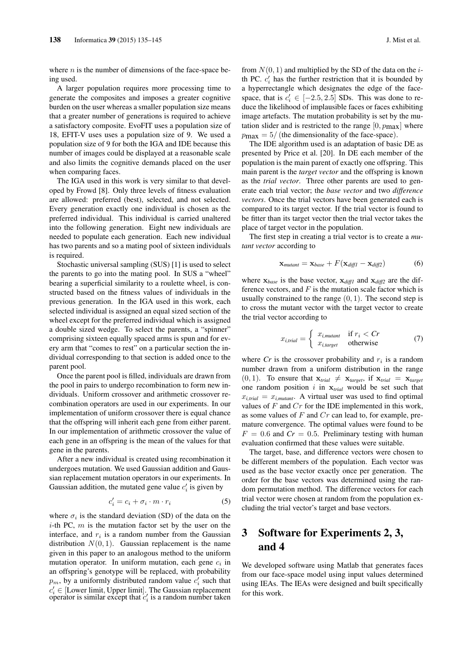where  $n$  is the number of dimensions of the face-space being used.

A larger population requires more processing time to generate the composites and imposes a greater cognitive burden on the user whereas a smaller population size means that a greater number of generations is required to achieve a satisfactory composite. EvoFIT uses a population size of 18, EFIT-V uses uses a population size of 9. We used a population size of 9 for both the IGA and IDE because this number of images could be displayed at a reasonable scale and also limits the cognitive demands placed on the user when comparing faces.

The IGA used in this work is very similar to that developed by Frowd [8]. Only three levels of fitness evaluation are allowed: preferred (best), selected, and not selected. Every generation exactly one individual is chosen as the preferred individual. This individual is carried unaltered into the following generation. Eight new individuals are needed to populate each generation. Each new individual has two parents and so a mating pool of sixteen individuals is required.

Stochastic universal sampling (SUS) [1] is used to select the parents to go into the mating pool. In SUS a "wheel" bearing a superficial similarity to a roulette wheel, is constructed based on the fitness values of individuals in the previous generation. In the IGA used in this work, each selected individual is assigned an equal sized section of the wheel except for the preferred individual which is assigned a double sized wedge. To select the parents, a "spinner" comprising sixteen equally spaced arms is spun and for every arm that "comes to rest" on a particular section the individual corresponding to that section is added once to the parent pool.

Once the parent pool is filled, individuals are drawn from the pool in pairs to undergo recombination to form new individuals. Uniform crossover and arithmetic crossover recombination operators are used in our experiments. In our implementation of uniform crossover there is equal chance that the offspring will inherit each gene from either parent. In our implementation of arithmetic crossover the value of each gene in an offspring is the mean of the values for that gene in the parents.

After a new individual is created using recombination it undergoes mutation. We used Gaussian addition and Gaussian replacement mutation operators in our experiments. In Gaussian addition, the mutated gene value  $c_i'$  is given by

$$
c_i' = c_i + \sigma_i \cdot m \cdot r_i \tag{5}
$$

where  $\sigma_i$  is the standard deviation (SD) of the data on the  $i$ -th PC,  $m$  is the mutation factor set by the user on the interface, and  $r_i$  is a random number from the Gaussian distribution  $N(0, 1)$ . Gaussian replacement is the name given in this paper to an analogous method to the uniform mutation operator. In uniform mutation, each gene  $c_i$  in an offspring's genotype will be replaced, with probability  $p_m$ , by a uniformly distributed random value  $c_i^j$  such that  $c_i' \in$  [Lower limit, Upper limit]. The Gaussian replacement  $c_i \in [2000]$  mind, except that  $c'_i$  is a random number taken

from  $N(0, 1)$  and multiplied by the SD of the data on the *i*th PC.  $c_i'$  has the further restriction that it is bounded by a hyperrectangle which designates the edge of the facespace, that is  $c'_i \in [-2.5, 2.5]$  SDs. This was done to reduce the likelihood of implausible faces or faces exhibiting image artefacts. The mutation probability is set by the mutation slider and is restricted to the range  $[0, p_{\text{max}}]$  where  $p_{\text{max}} = 5/$  (the dimensionality of the face-space).

The IDE algorithm used is an adaptation of basic DE as presented by Price et al. [20]. In DE each member of the population is the main parent of exactly one offspring. This main parent is the *target vector* and the offspring is known as the *trial vector*. Three other parents are used to generate each trial vector; the *base vector* and two *difference vectors*. Once the trial vectors have been generated each is compared to its target vector. If the trial vector is found to be fitter than its target vector then the trial vector takes the place of target vector in the population.

The first step in creating a trial vector is to create a *mutant vector* according to

$$
\mathbf{x}_{mutant} = \mathbf{x}_{base} + F(\mathbf{x}_{diff1} - \mathbf{x}_{diff2}) \tag{6}
$$

where  $x_{base}$  is the base vector,  $x_{diff1}$  and  $x_{diff2}$  are the difference vectors, and  $F$  is the mutation scale factor which is usually constrained to the range  $(0, 1)$ . The second step is to cross the mutant vector with the target vector to create the trial vector according to

$$
x_{i, trial} = \begin{cases} x_{i, mutant} & \text{if } r_i < Cr \\ x_{i, target} & \text{otherwise} \end{cases} \tag{7}
$$

where  $Cr$  is the crossover probability and  $r_i$  is a random number drawn from a uniform distribution in the range  $(0, 1)$ . To ensure that  $\mathbf{x}_{trial} \neq \mathbf{x}_{target}$ , if  $\mathbf{x}_{trial} = \mathbf{x}_{target}$ one random position i in x*trial* would be set such that  $x_{i, trial} = x_{i, mutant}$ . A virtual user was used to find optimal values of  $F$  and  $Cr$  for the IDE implemented in this work, as some values of  $F$  and  $Cr$  can lead to, for example, premature convergence. The optimal values were found to be  $F = 0.6$  and  $Cr = 0.5$ . Preliminary testing with human evaluation confirmed that these values were suitable.

The target, base, and difference vectors were chosen to be different members of the population. Each vector was used as the base vector exactly once per generation. The order for the base vectors was determined using the random permutation method. The difference vectors for each trial vector were chosen at random from the population excluding the trial vector's target and base vectors.

## 3 Software for Experiments 2, 3, and 4

We developed software using Matlab that generates faces from our face-space model using input values determined using IEAs. The IEAs were designed and built specifically for this work.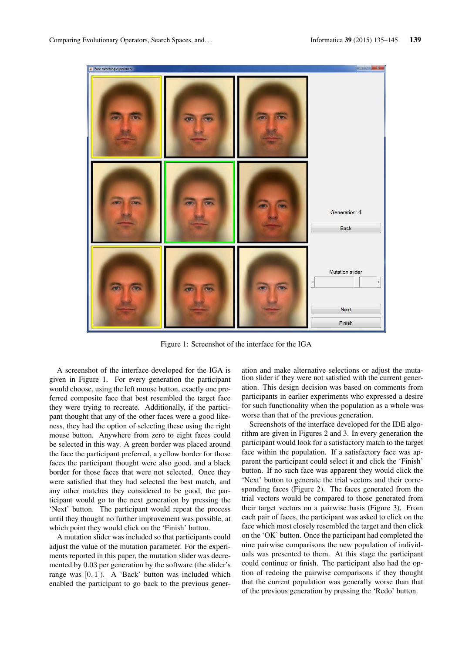

Figure 1: Screenshot of the interface for the IGA

A screenshot of the interface developed for the IGA is given in Figure 1. For every generation the participant would choose, using the left mouse button, exactly one preferred composite face that best resembled the target face they were trying to recreate. Additionally, if the participant thought that any of the other faces were a good likeness, they had the option of selecting these using the right mouse button. Anywhere from zero to eight faces could be selected in this way. A green border was placed around the face the participant preferred, a yellow border for those faces the participant thought were also good, and a black border for those faces that were not selected. Once they were satisfied that they had selected the best match, and any other matches they considered to be good, the participant would go to the next generation by pressing the 'Next' button. The participant would repeat the process until they thought no further improvement was possible, at which point they would click on the 'Finish' button.

A mutation slider was included so that participants could adjust the value of the mutation parameter. For the experiments reported in this paper, the mutation slider was decremented by 0.03 per generation by the software (the slider's range was  $[0, 1]$ ). A 'Back' button was included which enabled the participant to go back to the previous generation and make alternative selections or adjust the mutation slider if they were not satisfied with the current generation. This design decision was based on comments from participants in earlier experiments who expressed a desire for such functionality when the population as a whole was worse than that of the previous generation.

Screenshots of the interface developed for the IDE algorithm are given in Figures 2 and 3. In every generation the participant would look for a satisfactory match to the target face within the population. If a satisfactory face was apparent the participant could select it and click the 'Finish' button. If no such face was apparent they would click the 'Next' button to generate the trial vectors and their corresponding faces (Figure 2). The faces generated from the trial vectors would be compared to those generated from their target vectors on a pairwise basis (Figure 3). From each pair of faces, the participant was asked to click on the face which most closely resembled the target and then click on the 'OK' button. Once the participant had completed the nine pairwise comparisons the new population of individuals was presented to them. At this stage the participant could continue or finish. The participant also had the option of redoing the pairwise comparisons if they thought that the current population was generally worse than that of the previous generation by pressing the 'Redo' button.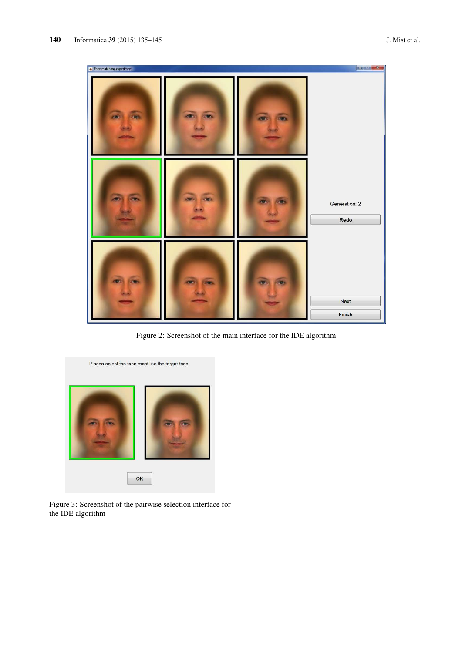

Figure 2: Screenshot of the main interface for the IDE algorithm



Figure 3: Screenshot of the pairwise selection interface for the IDE algorithm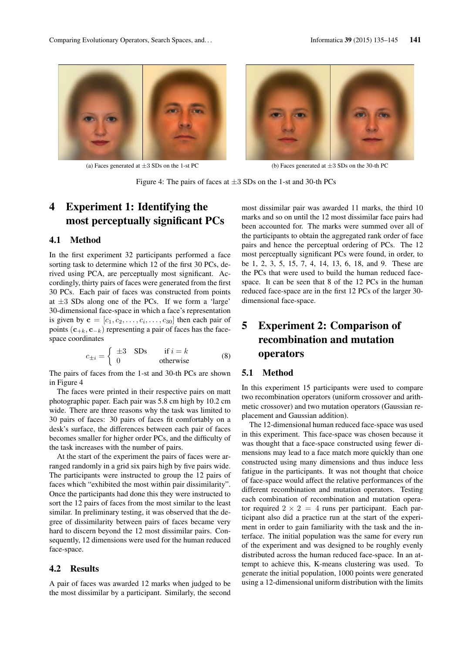

(a) Faces generated at  $\pm 3$  SDs on the 1-st PC (b) Faces generated at  $\pm 3$  SDs on the 30-th PC

Figure 4: The pairs of faces at  $\pm 3$  SDs on the 1-st and 30-th PCs

## 4 Experiment 1: Identifying the most perceptually significant PCs

#### 4.1 Method

In the first experiment 32 participants performed a face sorting task to determine which 12 of the first 30 PCs, derived using PCA, are perceptually most significant. Accordingly, thirty pairs of faces were generated from the first 30 PCs. Each pair of faces was constructed from points at  $\pm 3$  SDs along one of the PCs. If we form a 'large' 30-dimensional face-space in which a face's representation is given by  $\mathbf{c} = [c_1, c_2, \dots, c_i, \dots, c_{30}]$  then each pair of points  $(c_{+k}, c_{-k})$  representing a pair of faces has the facespace coordinates

$$
c_{\pm i} = \begin{cases} \pm 3 & \text{SDs} & \text{if } i = k \\ 0 & \text{otherwise} \end{cases} \tag{8}
$$

The pairs of faces from the 1-st and 30-th PCs are shown in Figure 4

The faces were printed in their respective pairs on matt photographic paper. Each pair was 5.8 cm high by 10.2 cm wide. There are three reasons why the task was limited to 30 pairs of faces: 30 pairs of faces fit comfortably on a desk's surface, the differences between each pair of faces becomes smaller for higher order PCs, and the difficulty of the task increases with the number of pairs.

At the start of the experiment the pairs of faces were arranged randomly in a grid six pairs high by five pairs wide. The participants were instructed to group the 12 pairs of faces which "exhibited the most within pair dissimilarity". Once the participants had done this they were instructed to sort the 12 pairs of faces from the most similar to the least similar. In preliminary testing, it was observed that the degree of dissimilarity between pairs of faces became very hard to discern beyond the 12 most dissimilar pairs. Consequently, 12 dimensions were used for the human reduced face-space.

#### 4.2 Results

A pair of faces was awarded 12 marks when judged to be the most dissimilar by a participant. Similarly, the second most dissimilar pair was awarded 11 marks, the third 10 marks and so on until the 12 most dissimilar face pairs had been accounted for. The marks were summed over all of the participants to obtain the aggregated rank order of face pairs and hence the perceptual ordering of PCs. The 12 most perceptually significant PCs were found, in order, to be 1, 2, 3, 5, 15, 7, 4, 14, 13, 6, 18, and 9. These are the PCs that were used to build the human reduced facespace. It can be seen that 8 of the 12 PCs in the human reduced face-space are in the first 12 PCs of the larger 30 dimensional face-space.

## 5 Experiment 2: Comparison of recombination and mutation operators

#### 5.1 Method

In this experiment 15 participants were used to compare two recombination operators (uniform crossover and arithmetic crossover) and two mutation operators (Gaussian replacement and Gaussian addition).

The 12-dimensional human reduced face-space was used in this experiment. This face-space was chosen because it was thought that a face-space constructed using fewer dimensions may lead to a face match more quickly than one constructed using many dimensions and thus induce less fatigue in the participants. It was not thought that choice of face-space would affect the relative performances of the different recombination and mutation operators. Testing each combination of recombination and mutation operator required  $2 \times 2 = 4$  runs per participant. Each participant also did a practice run at the start of the experiment in order to gain familiarity with the task and the interface. The initial population was the same for every run of the experiment and was designed to be roughly evenly distributed across the human reduced face-space. In an attempt to achieve this, K-means clustering was used. To generate the initial population, 1000 points were generated using a 12-dimensional uniform distribution with the limits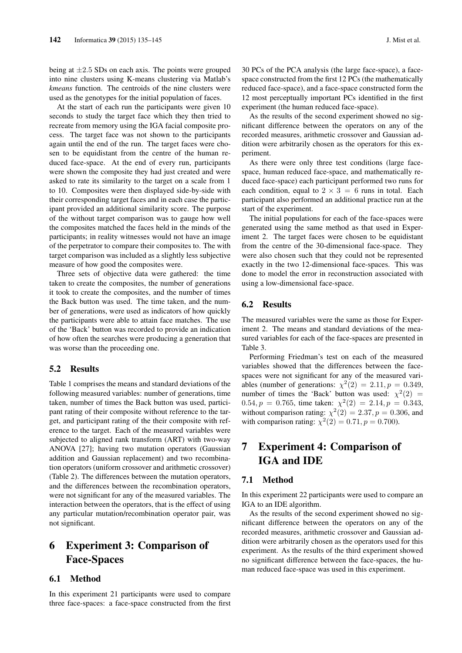being at  $\pm 2.5$  SDs on each axis. The points were grouped into nine clusters using K-means clustering via Matlab's *kmeans* function. The centroids of the nine clusters were used as the genotypes for the initial population of faces.

At the start of each run the participants were given 10 seconds to study the target face which they then tried to recreate from memory using the IGA facial composite process. The target face was not shown to the participants again until the end of the run. The target faces were chosen to be equidistant from the centre of the human reduced face-space. At the end of every run, participants were shown the composite they had just created and were asked to rate its similarity to the target on a scale from 1 to 10. Composites were then displayed side-by-side with their corresponding target faces and in each case the participant provided an additional similarity score. The purpose of the without target comparison was to gauge how well the composites matched the faces held in the minds of the participants; in reality witnesses would not have an image of the perpetrator to compare their composites to. The with target comparison was included as a slightly less subjective measure of how good the composites were.

Three sets of objective data were gathered: the time taken to create the composites, the number of generations it took to create the composites, and the number of times the Back button was used. The time taken, and the number of generations, were used as indicators of how quickly the participants were able to attain face matches. The use of the 'Back' button was recorded to provide an indication of how often the searches were producing a generation that was worse than the proceeding one.

#### 5.2 Results

Table 1 comprises the means and standard deviations of the following measured variables: number of generations, time taken, number of times the Back button was used, participant rating of their composite without reference to the target, and participant rating of the their composite with reference to the target. Each of the measured variables were subjected to aligned rank transform (ART) with two-way ANOVA [27]; having two mutation operators (Gaussian addition and Gaussian replacement) and two recombination operators (uniform crossover and arithmetic crossover) (Table 2). The differences between the mutation operators, and the differences between the recombination operators, were not significant for any of the measured variables. The interaction between the operators, that is the effect of using any particular mutation/recombination operator pair, was not significant.

## 6 Experiment 3: Comparison of Face-Spaces

#### 6.1 Method

In this experiment 21 participants were used to compare three face-spaces: a face-space constructed from the first 30 PCs of the PCA analysis (the large face-space), a facespace constructed from the first 12 PCs (the mathematically reduced face-space), and a face-space constructed form the 12 most perceptually important PCs identified in the first experiment (the human reduced face-space).

As the results of the second experiment showed no significant difference between the operators on any of the recorded measures, arithmetic crossover and Gaussian addition were arbitrarily chosen as the operators for this experiment.

As there were only three test conditions (large facespace, human reduced face-space, and mathematically reduced face-space) each participant performed two runs for each condition, equal to  $2 \times 3 = 6$  runs in total. Each participant also performed an additional practice run at the start of the experiment.

The initial populations for each of the face-spaces were generated using the same method as that used in Experiment 2. The target faces were chosen to be equidistant from the centre of the 30-dimensional face-space. They were also chosen such that they could not be represented exactly in the two 12-dimensional face-spaces. This was done to model the error in reconstruction associated with using a low-dimensional face-space.

#### 6.2 Results

The measured variables were the same as those for Experiment 2. The means and standard deviations of the measured variables for each of the face-spaces are presented in Table 3.

Performing Friedman's test on each of the measured variables showed that the differences between the facespaces were not significant for any of the measured variables (number of generations:  $\chi^2(2) = 2.11, p = 0.349,$ number of times the 'Back' button was used:  $\chi^2(2)$  = 0.54,  $p = 0.765$ , time taken:  $\chi^2(2) = 2.14$ ,  $p = 0.343$ , without comparison rating:  $\chi^2(2) = 2.37, p = 0.306$ , and with comparison rating:  $\chi^2(2) = 0.71, p = 0.700$ .

## 7 Experiment 4: Comparison of IGA and IDE

#### 7.1 Method

In this experiment 22 participants were used to compare an IGA to an IDE algorithm.

As the results of the second experiment showed no significant difference between the operators on any of the recorded measures, arithmetic crossover and Gaussian addition were arbitrarily chosen as the operators used for this experiment. As the results of the third experiment showed no significant difference between the face-spaces, the human reduced face-space was used in this experiment.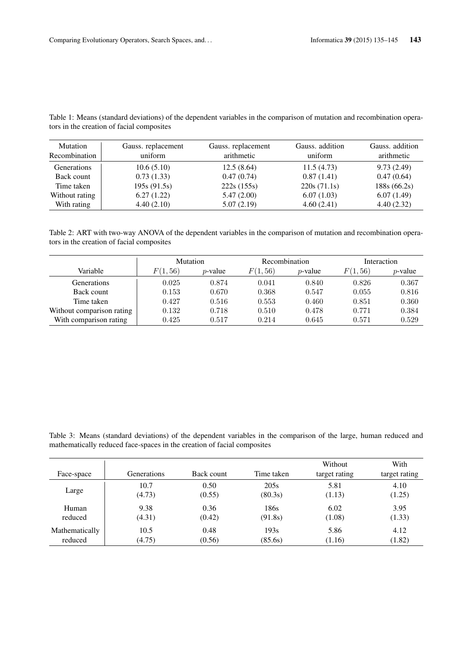Table 1: Means (standard deviations) of the dependent variables in the comparison of mutation and recombination operators in the creation of facial composites

| <b>Mutation</b><br>Recombination | Gauss. replacement<br>Gauss. replacement<br>arithmetic<br>uniform |            | Gauss. addition<br>uniform | Gauss. addition<br>arithmetic |
|----------------------------------|-------------------------------------------------------------------|------------|----------------------------|-------------------------------|
| Generations                      | 10.6(5.10)                                                        | 12.5(8.64) | 11.5(4.73)                 | 9.73(2.49)                    |
| Back count                       | 0.73(1.33)                                                        | 0.47(0.74) | 0.87(1.41)                 | 0.47(0.64)                    |
| Time taken                       | 195s(91.5s)                                                       | 222s(155s) | 220s(71.1s)                | 188s(66.2s)                   |
| Without rating                   | 6.27(1.22)                                                        | 5.47(2.00) | 6.07(1.03)                 | 6.07(1.49)                    |
| With rating                      | 4.40(2.10)                                                        | 5.07(2.19) | 4.60(2.41)                 | 4.40(2.32)                    |

Table 2: ART with two-way ANOVA of the dependent variables in the comparison of mutation and recombination operators in the creation of facial composites

|                           | Mutation |            | Recombination |            | Interaction |            |
|---------------------------|----------|------------|---------------|------------|-------------|------------|
| Variable                  | F(1,56)  | $p$ -value | F(1, 56)      | $p$ -value | F(1, 56)    | $p$ -value |
| <b>Generations</b>        | 0.025    | 0.874      | 0.041         | 0.840      | 0.826       | 0.367      |
| Back count                | 0.153    | 0.670      | 0.368         | 0.547      | 0.055       | 0.816      |
| Time taken                | 0.427    | 0.516      | 0.553         | 0.460      | 0.851       | 0.360      |
| Without comparison rating | 0.132    | 0.718      | 0.510         | 0.478      | 0.771       | 0.384      |
| With comparison rating    | 0.425    | 0.517      | 0.214         | 0.645      | 0.571       | 0.529      |

Table 3: Means (standard deviations) of the dependent variables in the comparison of the large, human reduced and mathematically reduced face-spaces in the creation of facial composites

|                |             |            |            | Without       | With          |
|----------------|-------------|------------|------------|---------------|---------------|
| Face-space     | Generations | Back count | Time taken | target rating | target rating |
| Large          | 10.7        | 0.50       | 205s       | 5.81          | 4.10          |
|                | (4.73)      | (0.55)     | (80.3s)    | (1.13)        | (1.25)        |
| Human          | 9.38        | 0.36       | 186s       | 6.02          | 3.95          |
| reduced        | (4.31)      | (0.42)     | (91.8s)    | (1.08)        | (1.33)        |
| Mathematically | 10.5        | 0.48       | 193s       | 5.86          | 4.12          |
| reduced        | (4.75)      | (0.56)     | (85.6s)    | (1.16)        | (1.82)        |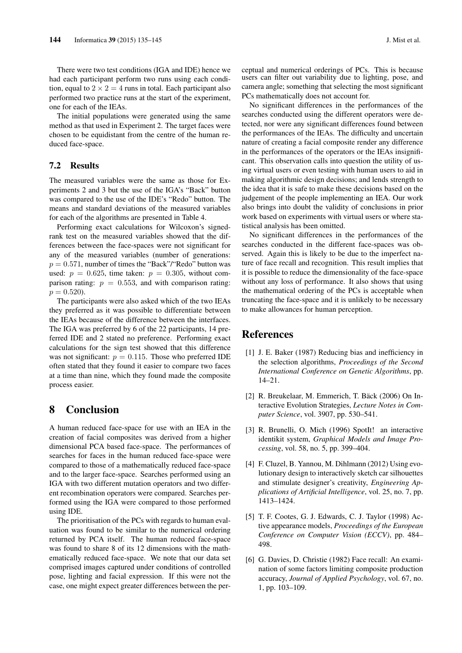There were two test conditions (IGA and IDE) hence we had each participant perform two runs using each condition, equal to  $2 \times 2 = 4$  runs in total. Each participant also performed two practice runs at the start of the experiment, one for each of the IEAs.

The initial populations were generated using the same method as that used in Experiment 2. The target faces were chosen to be equidistant from the centre of the human reduced face-space.

#### 7.2 Results

The measured variables were the same as those for Experiments 2 and 3 but the use of the IGA's "Back" button was compared to the use of the IDE's "Redo" button. The means and standard deviations of the measured variables for each of the algorithms are presented in Table 4.

Performing exact calculations for Wilcoxon's signedrank test on the measured variables showed that the differences between the face-spaces were not significant for any of the measured variables (number of generations:  $p = 0.571$ , number of times the "Back"/"Redo" button was used:  $p = 0.625$ , time taken:  $p = 0.305$ , without comparison rating:  $p = 0.553$ , and with comparison rating:  $p = 0.520$ .

The participants were also asked which of the two IEAs they preferred as it was possible to differentiate between the IEAs because of the difference between the interfaces. The IGA was preferred by 6 of the 22 participants, 14 preferred IDE and 2 stated no preference. Performing exact calculations for the sign test showed that this difference was not significant:  $p = 0.115$ . Those who preferred IDE often stated that they found it easier to compare two faces at a time than nine, which they found made the composite process easier.

### 8 Conclusion

A human reduced face-space for use with an IEA in the creation of facial composites was derived from a higher dimensional PCA based face-space. The performances of searches for faces in the human reduced face-space were compared to those of a mathematically reduced face-space and to the larger face-space. Searches performed using an IGA with two different mutation operators and two different recombination operators were compared. Searches performed using the IGA were compared to those performed using IDE.

The prioritisation of the PCs with regards to human evaluation was found to be similar to the numerical ordering returned by PCA itself. The human reduced face-space was found to share 8 of its 12 dimensions with the mathematically reduced face-space. We note that our data set comprised images captured under conditions of controlled pose, lighting and facial expression. If this were not the case, one might expect greater differences between the perceptual and numerical orderings of PCs. This is because users can filter out variability due to lighting, pose, and camera angle; something that selecting the most significant PCs mathematically does not account for.

No significant differences in the performances of the searches conducted using the different operators were detected, nor were any significant differences found between the performances of the IEAs. The difficulty and uncertain nature of creating a facial composite render any difference in the performances of the operators or the IEAs insignificant. This observation calls into question the utility of using virtual users or even testing with human users to aid in making algorithmic design decisions; and lends strength to the idea that it is safe to make these decisions based on the judgement of the people implementing an IEA. Our work also brings into doubt the validity of conclusions in prior work based on experiments with virtual users or where statistical analysis has been omitted.

No significant differences in the performances of the searches conducted in the different face-spaces was observed. Again this is likely to be due to the imperfect nature of face recall and recognition. This result implies that it is possible to reduce the dimensionality of the face-space without any loss of performance. It also shows that using the mathematical ordering of the PCs is acceptable when truncating the face-space and it is unlikely to be necessary to make allowances for human perception.

## References

- [1] J. E. Baker (1987) Reducing bias and inefficiency in the selection algorithms, *Proceedings of the Second International Conference on Genetic Algorithms*, pp. 14–21.
- [2] R. Breukelaar, M. Emmerich, T. Bäck (2006) On Interactive Evolution Strategies, *Lecture Notes in Computer Science*, vol. 3907, pp. 530–541.
- [3] R. Brunelli, O. Mich (1996) SpotIt! an interactive identikit system, *Graphical Models and Image Processing*, vol. 58, no. 5, pp. 399–404.
- [4] F. Cluzel, B. Yannou, M. Dihlmann (2012) Using evolutionary design to interactively sketch car silhouettes and stimulate designer's creativity, *Engineering Applications of Artificial Intelligence*, vol. 25, no. 7, pp. 1413–1424.
- [5] T. F. Cootes, G. J. Edwards, C. J. Taylor (1998) Active appearance models, *Proceedings of the European Conference on Computer Vision (ECCV)*, pp. 484– 498.
- [6] G. Davies, D. Christie (1982) Face recall: An examination of some factors limiting composite production accuracy, *Journal of Applied Psychology*, vol. 67, no. 1, pp. 103–109.